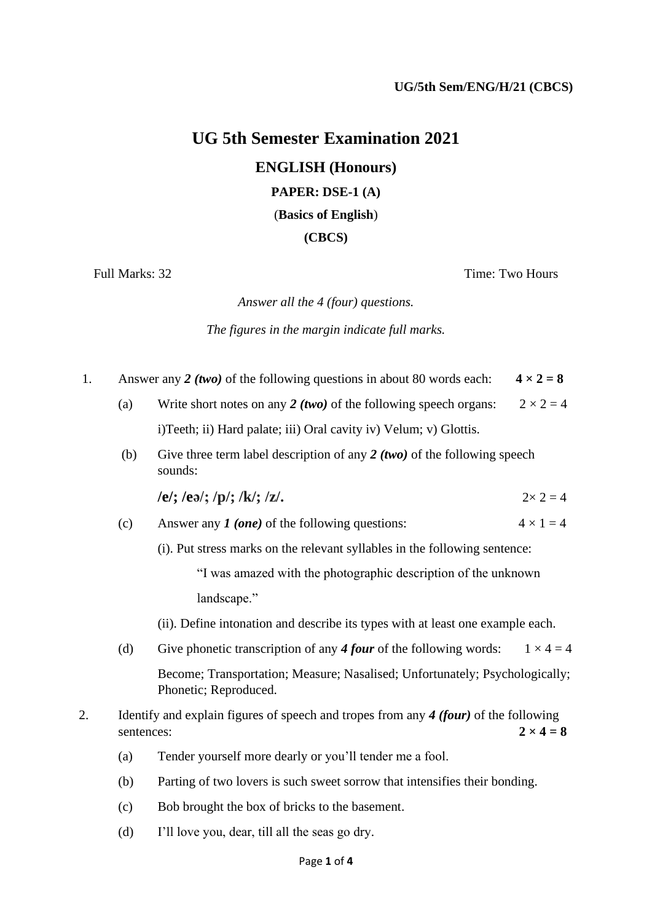## **UG 5th Semester Examination 2021**

#### **ENGLISH (Honours)**

**PAPER: DSE-1 (A)**

(**Basics of English**)

#### **(CBCS)**

Full Marks: 32 Time: Two Hours

*Answer all the 4 (four) questions.*

*The figures in the margin indicate full marks.*

- 1. Answer any 2 (two) of the following questions in about 80 words each:  $4 \times 2 = 8$ 
	- (a) Write short notes on any 2 (two) of the following speech organs:  $2 \times 2 = 4$ i)Teeth; ii) Hard palate; iii) Oral cavity iv) Velum; v) Glottis.
	- (b) Give three term label description of any *2 (two)* of the following speech sounds:

$$
l\mathbf{e} \cdot \mathbf{e} \cdot \mathbf{e} \cdot \mathbf{e} \cdot \mathbf{e} \cdot \mathbf{e} \cdot \mathbf{e} \cdot \mathbf{e} \cdot \mathbf{e} \cdot \mathbf{e} \cdot \mathbf{e} \cdot \mathbf{e} \cdot \mathbf{e} \cdot \mathbf{e} \cdot \mathbf{e} \cdot \mathbf{e} \cdot \mathbf{e} \cdot \mathbf{e} \cdot \mathbf{e} \cdot \mathbf{e} \cdot \mathbf{e} \cdot \mathbf{e} \cdot \mathbf{e} \cdot \mathbf{e} \cdot \mathbf{e} \cdot \mathbf{e} \cdot \mathbf{e} \cdot \mathbf{e} \cdot \mathbf{e} \cdot \mathbf{e} \cdot \mathbf{e} \cdot \mathbf{e} \cdot \mathbf{e} \cdot \mathbf{e} \cdot \mathbf{e} \cdot \mathbf{e} \cdot \mathbf{e} \cdot \mathbf{e} \cdot \mathbf{e} \cdot \mathbf{e} \cdot \mathbf{e} \cdot \mathbf{e} \cdot \mathbf{e} \cdot \mathbf{e} \cdot \mathbf{e} \cdot \mathbf{e} \cdot \mathbf{e} \cdot \mathbf{e} \cdot \mathbf{e} \cdot \mathbf{e} \cdot \mathbf{e} \cdot \mathbf{e} \cdot \mathbf{e} \cdot \mathbf{e} \cdot \mathbf{e} \cdot \mathbf{e} \cdot \mathbf{e} \cdot \mathbf{e} \cdot \mathbf{e} \cdot \mathbf{e} \cdot \mathbf{e} \cdot \mathbf{e} \cdot \mathbf{e} \cdot \mathbf{e} \cdot \mathbf{e} \cdot \mathbf{e} \cdot \mathbf{e} \cdot \mathbf{e} \cdot \mathbf{e} \cdot \mathbf{e} \cdot \mathbf{e} \cdot \mathbf{e} \cdot \mathbf{e} \cdot \mathbf{e} \cdot \mathbf{e} \cdot \mathbf{e} \cdot \mathbf{e} \cdot \mathbf{e} \cdot \mathbf{e} \cdot \mathbf{e} \cdot \mathbf{e} \cdot \mathbf{e} \cdot \mathbf{e} \cdot \mathbf{e} \cdot \mathbf{e} \cdot \mathbf{e} \cdot \mathbf{e} \cdot \mathbf{e} \cdot \mathbf{e} \cdot \mathbf{e} \cdot \mathbf{e} \cdot \mathbf{e} \cdot \mathbf{e} \cdot \mathbf{e} \cdot \mathbf{e} \cdot \
$$

- (c) Answer any *1 (one)* of the following questions:  $4 \times 1 = 4$ 
	- (i). Put stress marks on the relevant syllables in the following sentence:

"I was amazed with the photographic description of the unknown landscape."

- (ii). Define intonation and describe its types with at least one example each.
- (d) Give phonetic transcription of any **4 four** of the following words:  $1 \times 4 = 4$ Become; Transportation; Measure; Nasalised; Unfortunately; Psychologically; Phonetic; Reproduced.
- 2. Identify and explain figures of speech and tropes from any *4 (four)* of the following sentences:  $2 \times 4 = 8$ 
	- (a) Tender yourself more dearly or you'll tender me a fool.
	- (b) Parting of two lovers is such sweet sorrow that intensifies their bonding.
	- (c) Bob brought the box of bricks to the basement.
	- (d) I'll love you, dear, till all the seas go dry.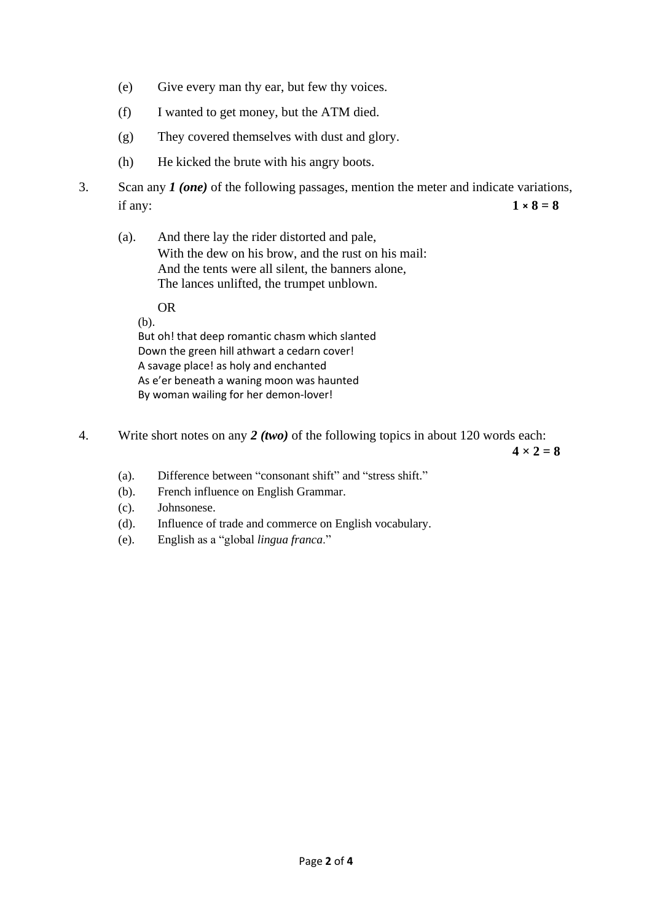- (e) Give every man thy ear, but few thy voices.
- (f) I wanted to get money, but the ATM died.
- (g) They covered themselves with dust and glory.
- (h) He kicked the brute with his angry boots.
- 3. Scan any *1 (one)* of the following passages, mention the meter and indicate variations, if any: **1**  $\times$  **8** = **8** 
	- (a). And there lay the rider distorted and pale, With the dew on his brow, and the rust on his mail: And the tents were all silent, the banners alone, The lances unlifted, the trumpet unblown.

 OR (b).

But oh! that deep romantic chasm which slanted Down the green hill athwart a cedarn cover! A savage place! as holy and enchanted As e'er beneath a waning moon was haunted By woman wailing for her demon-lover!

4. Write short notes on any *2 (two)* of the following topics in about 120 words each:

 $4 \times 2 = 8$ 

- (a). Difference between "consonant shift" and "stress shift."
- (b). French influence on English Grammar.
- (c). Johnsonese.
- (d). Influence of trade and commerce on English vocabulary.
- (e). English as a "global *lingua franca*."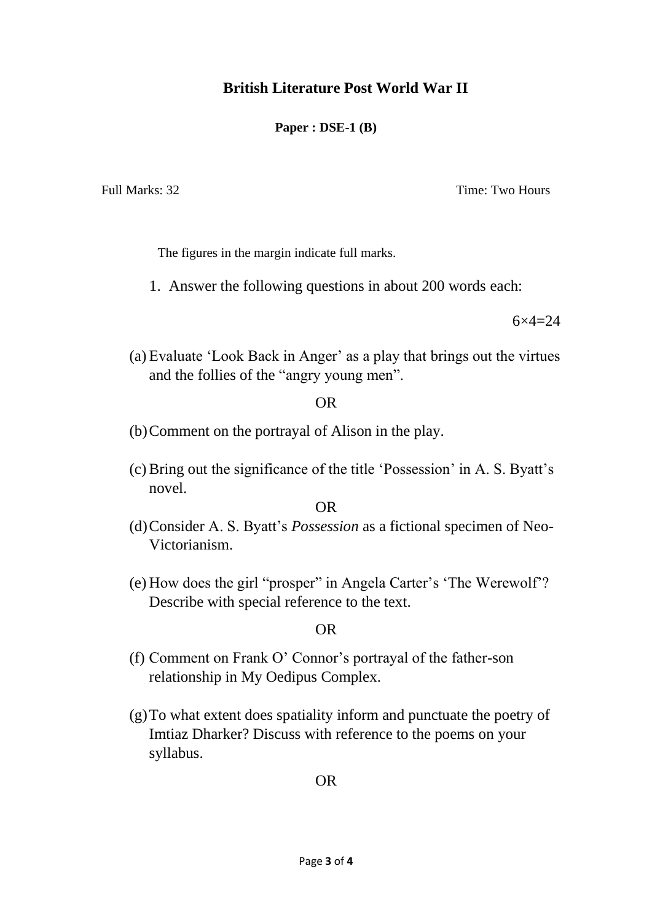# **British Literature Post World War II**

**Paper : DSE-1 (B)**

Full Marks: 32 Time: Two Hours

The figures in the margin indicate full marks.

1. Answer the following questions in about 200 words each:

 $6 \times 4 = 24$ 

(a) Evaluate 'Look Back in Anger' as a play that brings out the virtues and the follies of the "angry young men".

#### OR

- (b)Comment on the portrayal of Alison in the play.
- (c) Bring out the significance of the title 'Possession' in A. S. Byatt's novel.

OR

- (d)Consider A. S. Byatt's *Possession* as a fictional specimen of Neo-Victorianism.
- (e) How does the girl "prosper" in Angela Carter's 'The Werewolf'? Describe with special reference to the text.

OR

- (f) Comment on Frank O' Connor's portrayal of the father-son relationship in My Oedipus Complex.
- (g)To what extent does spatiality inform and punctuate the poetry of Imtiaz Dharker? Discuss with reference to the poems on your syllabus.

OR